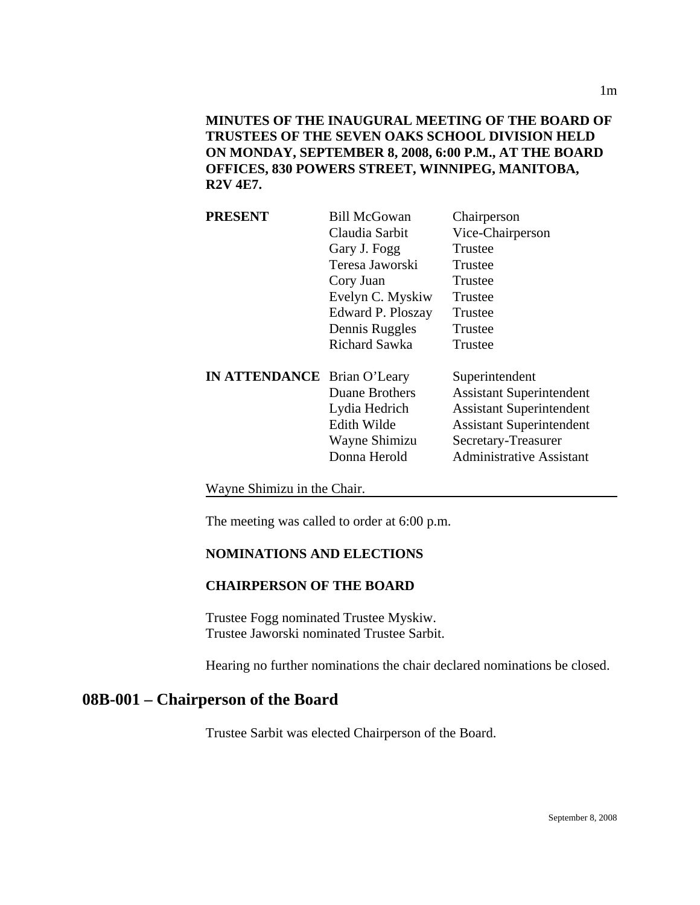**MINUTES OF THE INAUGURAL MEETING OF THE BOARD OF TRUSTEES OF THE SEVEN OAKS SCHOOL DIVISION HELD ON MONDAY, SEPTEMBER 8, 2008, 6:00 P.M., AT THE BOARD OFFICES, 830 POWERS STREET, WINNIPEG, MANITOBA, R2V 4E7.** 

| <b>PRESENT</b>                     | <b>Bill McGowan</b>  | Chairperson                     |
|------------------------------------|----------------------|---------------------------------|
|                                    | Claudia Sarbit       | Vice-Chairperson                |
|                                    | Gary J. Fogg         | Trustee                         |
|                                    | Teresa Jaworski      | Trustee                         |
|                                    | Cory Juan            | Trustee                         |
|                                    | Evelyn C. Myskiw     | Trustee                         |
|                                    | Edward P. Ploszay    | Trustee                         |
|                                    | Dennis Ruggles       | Trustee                         |
|                                    | <b>Richard Sawka</b> | Trustee                         |
| <b>IN ATTENDANCE</b> Brian O'Leary |                      | Superintendent                  |
|                                    | Duane Brothers       | <b>Assistant Superintendent</b> |
|                                    | Lydia Hedrich        | <b>Assistant Superintendent</b> |
|                                    | Edith Wilde          | <b>Assistant Superintendent</b> |
|                                    | Wayne Shimizu        | Secretary-Treasurer             |
|                                    | Donna Herold         | <b>Administrative Assistant</b> |
|                                    |                      |                                 |

Wayne Shimizu in the Chair.

The meeting was called to order at 6:00 p.m.

#### **NOMINATIONS AND ELECTIONS**

#### **CHAIRPERSON OF THE BOARD**

Trustee Fogg nominated Trustee Myskiw. Trustee Jaworski nominated Trustee Sarbit.

Hearing no further nominations the chair declared nominations be closed.

## **08B-001 – Chairperson of the Board**

Trustee Sarbit was elected Chairperson of the Board.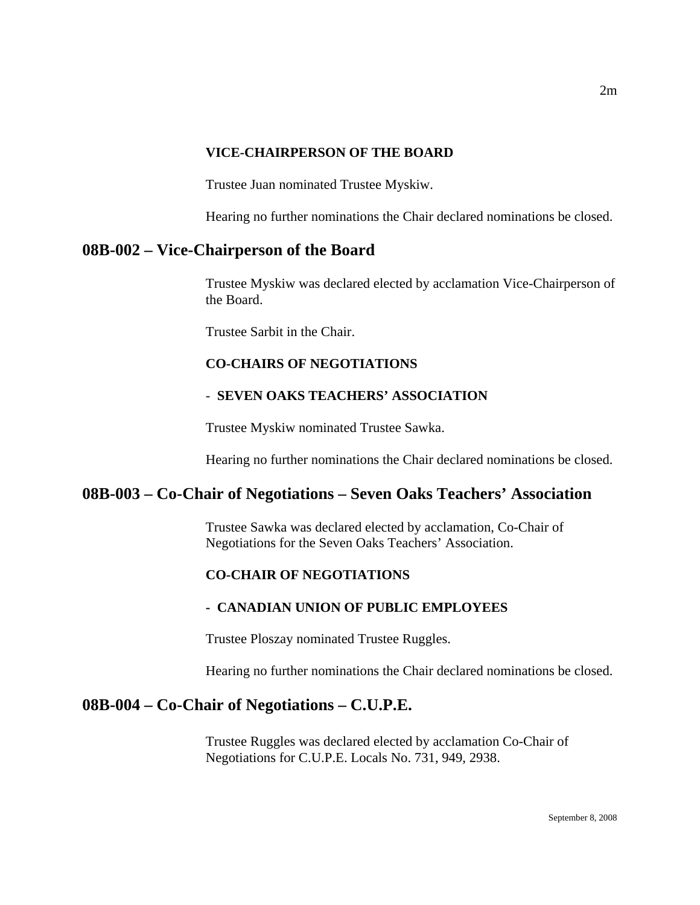#### **VICE-CHAIRPERSON OF THE BOARD**

Trustee Juan nominated Trustee Myskiw.

Hearing no further nominations the Chair declared nominations be closed.

## **08B-002 – Vice-Chairperson of the Board**

Trustee Myskiw was declared elected by acclamation Vice-Chairperson of the Board.

Trustee Sarbit in the Chair.

## **CO-CHAIRS OF NEGOTIATIONS**

### - **SEVEN OAKS TEACHERS' ASSOCIATION**

Trustee Myskiw nominated Trustee Sawka.

Hearing no further nominations the Chair declared nominations be closed.

## **08B-003 – Co-Chair of Negotiations – Seven Oaks Teachers' Association**

Trustee Sawka was declared elected by acclamation, Co-Chair of Negotiations for the Seven Oaks Teachers' Association.

## **CO-CHAIR OF NEGOTIATIONS**

#### **- CANADIAN UNION OF PUBLIC EMPLOYEES**

Trustee Ploszay nominated Trustee Ruggles.

Hearing no further nominations the Chair declared nominations be closed.

## **08B-004 – Co-Chair of Negotiations – C.U.P.E.**

Trustee Ruggles was declared elected by acclamation Co-Chair of Negotiations for C.U.P.E. Locals No. 731, 949, 2938.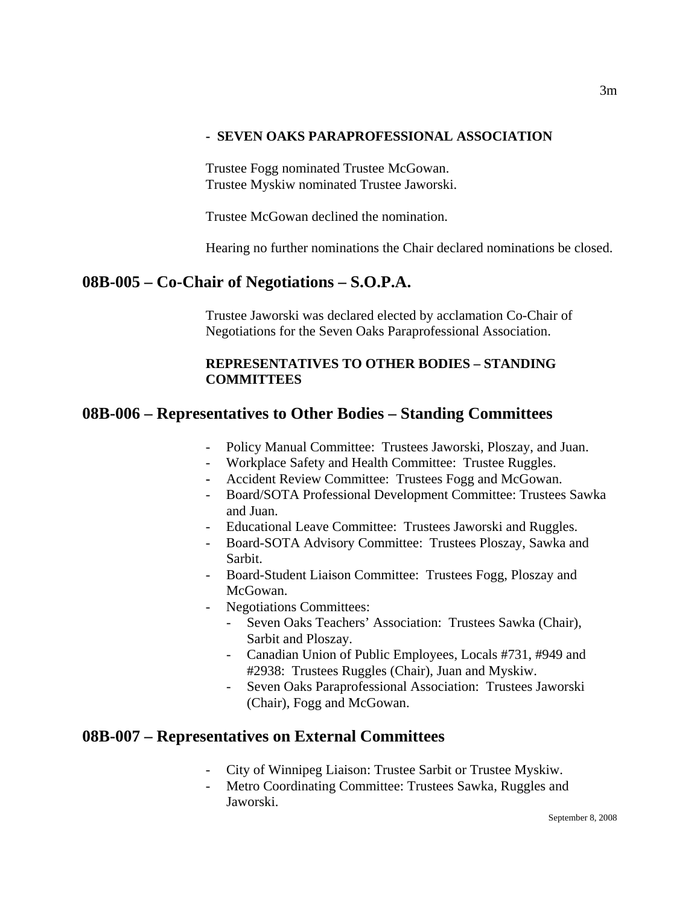#### **- SEVEN OAKS PARAPROFESSIONAL ASSOCIATION**

Trustee Fogg nominated Trustee McGowan. Trustee Myskiw nominated Trustee Jaworski.

Trustee McGowan declined the nomination.

Hearing no further nominations the Chair declared nominations be closed.

# **08B-005 – Co-Chair of Negotiations – S.O.P.A.**

Trustee Jaworski was declared elected by acclamation Co-Chair of Negotiations for the Seven Oaks Paraprofessional Association.

## **REPRESENTATIVES TO OTHER BODIES – STANDING COMMITTEES**

# **08B-006 – Representatives to Other Bodies – Standing Committees**

- Policy Manual Committee: Trustees Jaworski, Ploszay, and Juan.
- Workplace Safety and Health Committee: Trustee Ruggles.
- Accident Review Committee: Trustees Fogg and McGowan.
- Board/SOTA Professional Development Committee: Trustees Sawka and Juan.
- Educational Leave Committee: Trustees Jaworski and Ruggles.
- Board-SOTA Advisory Committee: Trustees Ploszay, Sawka and Sarbit.
- Board-Student Liaison Committee: Trustees Fogg, Ploszay and McGowan.
- Negotiations Committees:
	- Seven Oaks Teachers' Association: Trustees Sawka (Chair), Sarbit and Ploszay.
	- Canadian Union of Public Employees, Locals #731, #949 and #2938: Trustees Ruggles (Chair), Juan and Myskiw.
	- Seven Oaks Paraprofessional Association: Trustees Jaworski (Chair), Fogg and McGowan.

# **08B-007 – Representatives on External Committees**

- City of Winnipeg Liaison: Trustee Sarbit or Trustee Myskiw.
- Metro Coordinating Committee: Trustees Sawka, Ruggles and Jaworski.